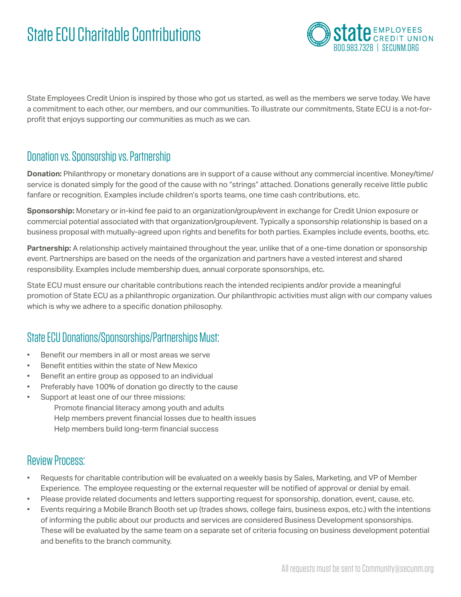# State ECU Charitable Contributions



State Employees Credit Union is inspired by those who got us started, as well as the members we serve today. We have a commitment to each other, our members, and our communities. To illustrate our commitments, State ECU is a not-forprofit that enjoys supporting our communities as much as we can.

### Donation vs. Sponsorship vs. Partnership

**Donation:** Philanthropy or monetary donations are in support of a cause without any commercial incentive. Money/time/ service is donated simply for the good of the cause with no "strings" attached. Donations generally receive little public fanfare or recognition. Examples include children's sports teams, one time cash contributions, etc.

**Sponsorship:** Monetary or in-kind fee paid to an organization/group/event in exchange for Credit Union exposure or commercial potential associated with that organization/group/event. Typically a sponsorship relationship is based on a business proposal with mutually-agreed upon rights and benefits for both parties. Examples include events, booths, etc.

**Partnership:** A relationship actively maintained throughout the year, unlike that of a one-time donation or sponsorship event. Partnerships are based on the needs of the organization and partners have a vested interest and shared responsibility. Examples include membership dues, annual corporate sponsorships, etc.

State ECU must ensure our charitable contributions reach the intended recipients and/or provide a meaningful promotion of State ECU as a philanthropic organization. Our philanthropic activities must align with our company values which is why we adhere to a specific donation philosophy.

## State ECU Donations/Sponsorships/Partnerships Must:

- Benefit our members in all or most areas we serve
- Benefit entities within the state of New Mexico
- Benefit an entire group as opposed to an individual
- Preferably have 100% of donation go directly to the cause
- Support at least one of our three missions:

Promote financial literacy among youth and adults Help members prevent financial losses due to health issues Help members build long-term financial success

### Review Process:

- Requests for charitable contribution will be evaluated on a weekly basis by Sales, Marketing, and VP of Member Experience. The employee requesting or the external requester will be notified of approval or denial by email.
- Please provide related documents and letters supporting request for sponsorship, donation, event, cause, etc.
- Events requiring a Mobile Branch Booth set up (trades shows, college fairs, business expos, etc.) with the intentions of informing the public about our products and services are considered Business Development sponsorships. These will be evaluated by the same team on a separate set of criteria focusing on business development potential and benefits to the branch community.